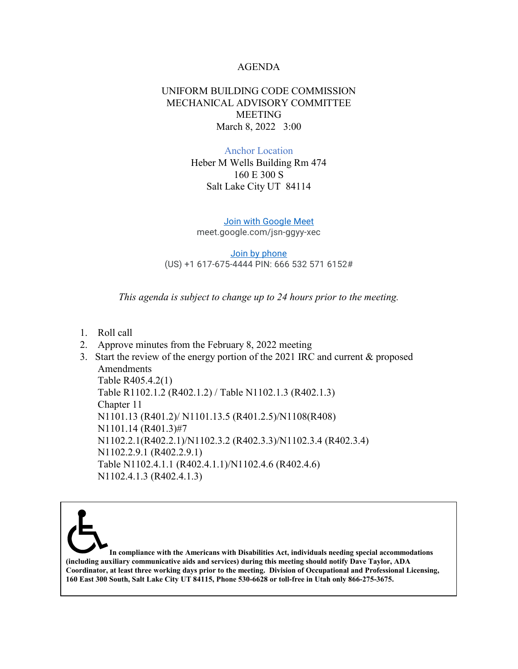## AGENDA

## UNIFORM BUILDING CODE COMMISSION MECHANICAL ADVISORY COMMITTEE MEETING March 8, 2022 3:00

## Anchor Location

Heber M Wells Building Rm 474 160 E 300 S Salt Lake City UT 84114

[Join with Google Meet](https://meet.google.com/jsn-ggyy-xec?authuser=0&hs=122) meet.google.com/jsn-ggyy-xec

[Join by phone](tel:+1-617-675-4444) (US) +1 617-675-4444 PIN: 666 532 571 6152#

*This agenda is subject to change up to 24 hours prior to the meeting.*

- 1. Roll call
- 2. Approve minutes from the February 8, 2022 meeting
- 3. Start the review of the energy portion of the 2021 IRC and current & proposed Amendments Table R405.4.2(1) Table R1102.1.2 (R402.1.2) / Table N1102.1.3 (R402.1.3) Chapter 11 N1101.13 (R401.2)/ N1101.13.5 (R401.2.5)/N1108(R408) N1101.14 (R401.3)#7 N1102.2.1(R402.2.1)/N1102.3.2 (R402.3.3)/N1102.3.4 (R402.3.4) N1102.2.9.1 (R402.2.9.1) Table N1102.4.1.1 (R402.4.1.1)/N1102.4.6 (R402.4.6) N1102.4.1.3 (R402.4.1.3)

**In compliance with the Americans with Disabilities Act, individuals needing special accommodations (including auxiliary communicative aids and services) during this meeting should notify Dave Taylor, ADA Coordinator, at least three working days prior to the meeting. Division of Occupational and Professional Licensing, 160 East 300 South, Salt Lake City UT 84115, Phone 530-6628 or toll-free in Utah only 866-275-3675.**